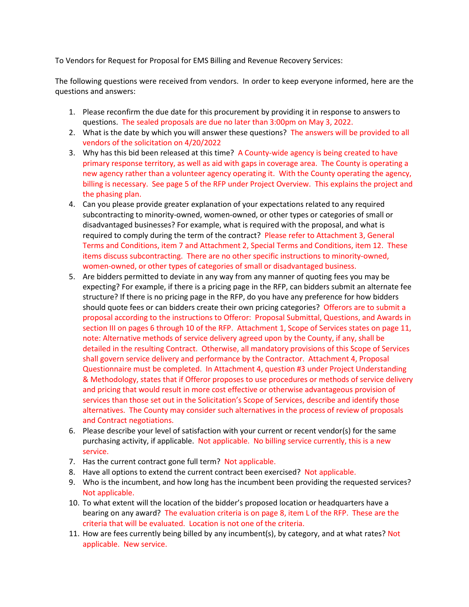To Vendors for Request for Proposal for EMS Billing and Revenue Recovery Services:

The following questions were received from vendors. In order to keep everyone informed, here are the questions and answers:

- 1. Please reconfirm the due date for this procurement by providing it in response to answers to questions. The sealed proposals are due no later than 3:00pm on May 3, 2022.
- 2. What is the date by which you will answer these questions? The answers will be provided to all vendors of the solicitation on 4/20/2022
- 3. Why has this bid been released at this time? A County-wide agency is being created to have primary response territory, as well as aid with gaps in coverage area. The County is operating a new agency rather than a volunteer agency operating it. With the County operating the agency, billing is necessary. See page 5 of the RFP under Project Overview. This explains the project and the phasing plan.
- 4. Can you please provide greater explanation of your expectations related to any required subcontracting to minority-owned, women-owned, or other types or categories of small or disadvantaged businesses? For example, what is required with the proposal, and what is required to comply during the term of the contract? Please refer to Attachment 3, General Terms and Conditions, item 7 and Attachment 2, Special Terms and Conditions, item 12. These items discuss subcontracting. There are no other specific instructions to minority-owned, women-owned, or other types of categories of small or disadvantaged business.
- 5. Are bidders permitted to deviate in any way from any manner of quoting fees you may be expecting? For example, if there is a pricing page in the RFP, can bidders submit an alternate fee structure? If there is no pricing page in the RFP, do you have any preference for how bidders should quote fees or can bidders create their own pricing categories? Offerors are to submit a proposal according to the instructions to Offeror: Proposal Submittal, Questions, and Awards in section III on pages 6 through 10 of the RFP. Attachment 1, Scope of Services states on page 11, note: Alternative methods of service delivery agreed upon by the County, if any, shall be detailed in the resulting Contract. Otherwise, all mandatory provisions of this Scope of Services shall govern service delivery and performance by the Contractor. Attachment 4, Proposal Questionnaire must be completed. In Attachment 4, question #3 under Project Understanding & Methodology, states that if Offeror proposes to use procedures or methods of service delivery and pricing that would result in more cost effective or otherwise advantageous provision of services than those set out in the Solicitation's Scope of Services, describe and identify those alternatives. The County may consider such alternatives in the process of review of proposals and Contract negotiations.
- 6. Please describe your level of satisfaction with your current or recent vendor(s) for the same purchasing activity, if applicable. Not applicable. No billing service currently, this is a new service.
- 7. Has the current contract gone full term? Not applicable.
- 8. Have all options to extend the current contract been exercised? Not applicable.
- 9. Who is the incumbent, and how long has the incumbent been providing the requested services? Not applicable.
- 10. To what extent will the location of the bidder's proposed location or headquarters have a bearing on any award? The evaluation criteria is on page 8, item L of the RFP. These are the criteria that will be evaluated. Location is not one of the criteria.
- 11. How are fees currently being billed by any incumbent(s), by category, and at what rates? Not applicable. New service.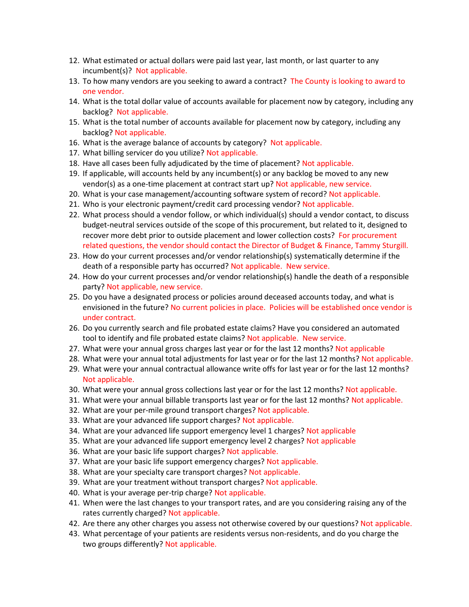- 12. What estimated or actual dollars were paid last year, last month, or last quarter to any incumbent(s)? Not applicable.
- 13. To how many vendors are you seeking to award a contract? The County is looking to award to one vendor.
- 14. What is the total dollar value of accounts available for placement now by category, including any backlog? Not applicable.
- 15. What is the total number of accounts available for placement now by category, including any backlog? Not applicable.
- 16. What is the average balance of accounts by category? Not applicable.
- 17. What billing servicer do you utilize? Not applicable.
- 18. Have all cases been fully adjudicated by the time of placement? Not applicable.
- 19. If applicable, will accounts held by any incumbent(s) or any backlog be moved to any new vendor(s) as a one-time placement at contract start up? Not applicable, new service.
- 20. What is your case management/accounting software system of record? Not applicable.
- 21. Who is your electronic payment/credit card processing vendor? Not applicable.
- 22. What process should a vendor follow, or which individual(s) should a vendor contact, to discuss budget-neutral services outside of the scope of this procurement, but related to it, designed to recover more debt prior to outside placement and lower collection costs? For procurement related questions, the vendor should contact the Director of Budget & Finance, Tammy Sturgill.
- 23. How do your current processes and/or vendor relationship(s) systematically determine if the death of a responsible party has occurred? Not applicable. New service.
- 24. How do your current processes and/or vendor relationship(s) handle the death of a responsible party? Not applicable, new service.
- 25. Do you have a designated process or policies around deceased accounts today, and what is envisioned in the future? No current policies in place. Policies will be established once vendor is under contract.
- 26. Do you currently search and file probated estate claims? Have you considered an automated tool to identify and file probated estate claims? Not applicable. New service.
- 27. What were your annual gross charges last year or for the last 12 months? Not applicable
- 28. What were your annual total adjustments for last year or for the last 12 months? Not applicable.
- 29. What were your annual contractual allowance write offs for last year or for the last 12 months? Not applicable.
- 30. What were your annual gross collections last year or for the last 12 months? Not applicable.
- 31. What were your annual billable transports last year or for the last 12 months? Not applicable.
- 32. What are your per-mile ground transport charges? Not applicable.
- 33. What are your advanced life support charges? Not applicable.
- 34. What are your advanced life support emergency level 1 charges? Not applicable
- 35. What are your advanced life support emergency level 2 charges? Not applicable
- 36. What are your basic life support charges? Not applicable.
- 37. What are your basic life support emergency charges? Not applicable.
- 38. What are your specialty care transport charges? Not applicable.
- 39. What are your treatment without transport charges? Not applicable.
- 40. What is your average per-trip charge? Not applicable.
- 41. When were the last changes to your transport rates, and are you considering raising any of the rates currently charged? Not applicable.
- 42. Are there any other charges you assess not otherwise covered by our questions? Not applicable.
- 43. What percentage of your patients are residents versus non-residents, and do you charge the two groups differently? Not applicable.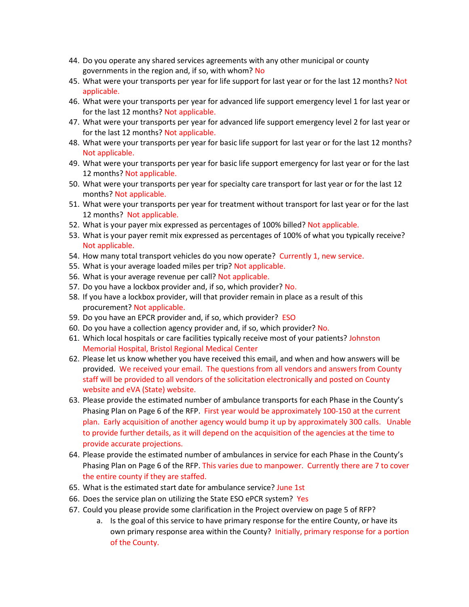- 44. Do you operate any shared services agreements with any other municipal or county governments in the region and, if so, with whom? No
- 45. What were your transports per year for life support for last year or for the last 12 months? Not applicable.
- 46. What were your transports per year for advanced life support emergency level 1 for last year or for the last 12 months? Not applicable.
- 47. What were your transports per year for advanced life support emergency level 2 for last year or for the last 12 months? Not applicable.
- 48. What were your transports per year for basic life support for last year or for the last 12 months? Not applicable.
- 49. What were your transports per year for basic life support emergency for last year or for the last 12 months? Not applicable.
- 50. What were your transports per year for specialty care transport for last year or for the last 12 months? Not applicable.
- 51. What were your transports per year for treatment without transport for last year or for the last 12 months? Not applicable.
- 52. What is your payer mix expressed as percentages of 100% billed? Not applicable.
- 53. What is your payer remit mix expressed as percentages of 100% of what you typically receive? Not applicable.
- 54. How many total transport vehicles do you now operate? Currently 1, new service.
- 55. What is your average loaded miles per trip? Not applicable.
- 56. What is your average revenue per call? Not applicable.
- 57. Do you have a lockbox provider and, if so, which provider? No.
- 58. If you have a lockbox provider, will that provider remain in place as a result of this procurement? Not applicable.
- 59. Do you have an EPCR provider and, if so, which provider? ESO
- 60. Do you have a collection agency provider and, if so, which provider? No.
- 61. Which local hospitals or care facilities typically receive most of your patients? Johnston Memorial Hospital, Bristol Regional Medical Center
- 62. Please let us know whether you have received this email, and when and how answers will be provided. We received your email. The questions from all vendors and answers from County staff will be provided to all vendors of the solicitation electronically and posted on County website and eVA (State) website.
- 63. Please provide the estimated number of ambulance transports for each Phase in the County's Phasing Plan on Page 6 of the RFP. First year would be approximately 100-150 at the current plan. Early acquisition of another agency would bump it up by approximately 300 calls. Unable to provide further details, as it will depend on the acquisition of the agencies at the time to provide accurate projections.
- 64. Please provide the estimated number of ambulances in service for each Phase in the County's Phasing Plan on Page 6 of the RFP. This varies due to manpower. Currently there are 7 to cover the entire county if they are staffed.
- 65. What is the estimated start date for ambulance service? June 1st
- 66. Does the service plan on utilizing the State ESO ePCR system? Yes
- 67. Could you please provide some clarification in the Project overview on page 5 of RFP?
	- a. Is the goal of this service to have primary response for the entire County, or have its own primary response area within the County? Initially, primary response for a portion of the County.